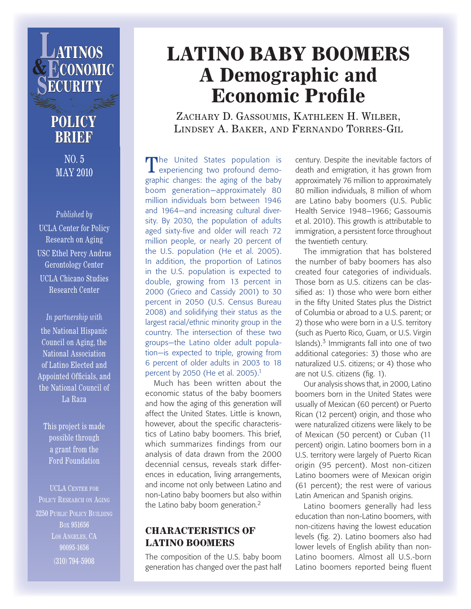

## **POLICY BRIEF**

NO. 5 MAY 2010

*Published by* UCLA Center for Policy Research on Aging USC Ethel Percy Andrus Gerontology Center UCLA Chicano Studies Research Center

*In partnership with* the National Hispanic Council on Aging, the National Association of Latino Elected and Appointed Officials, and the National Council of La Raza

This project is made possible through a grant from the Ford Foundation

UCLA CENTER FOR POLICY RESEARCH ON AGING 3250 Public Policy Building Box 951656 LOS ANGELES, CA 90095-1656 (310) 794-5908

## **LATINO BABY BOOMERS A Demographic and Economic Profile**

ZACHARY D. GASSOUMIS, KATHLEEN H. WILBER, Lindsey A. Baker, and Fernando Torres-Gil

The United States population is<br>
experiencing two profound demographic changes: the aging of the baby boom generation—approximately 80 million individuals born between 1946 and 1964—and increasing cultural diversity. By 2030, the population of adults aged sixty-five and older will reach 72 million people, or nearly 20 percent of the U.S. population (He et al. 2005). In addition, the proportion of Latinos in the U.S. population is expected to double, growing from 13 percent in 2000 (Grieco and Cassidy 2001) to 30 percent in 2050 (U.S. Census Bureau 2008) and solidifying their status as the largest racial/ethnic minority group in the country. The intersection of these two groups—the Latino older adult population—is expected to triple, growing from 6 percent of older adults in 2003 to 18 percent by 2050 (He et al. 2005).<sup>1</sup>

Much has been written about the economic status of the baby boomers and how the aging of this generation will affect the United States. Little is known, however, about the specific characteristics of Latino baby boomers. This brief, which summarizes findings from our analysis of data drawn from the 2000 decennial census, reveals stark differences in education, living arrangements, and income not only between Latino and non-Latino baby boomers but also within the Latino baby boom generation.<sup>2</sup>

### **CHARACTERISTICS OF LATINO BOOMERS**

The composition of the U.S. baby boom generation has changed over the past half century. Despite the inevitable factors of death and emigration, it has grown from approximately 76 million to approximately 80 million individuals, 8 million of whom are Latino baby boomers (U.S. Public Health Service 1948–1966; Gassoumis et al. 2010). This growth is attributable to immigration, a persistent force throughout the twentieth century.

The immigration that has bolstered the number of baby boomers has also created four categories of individuals. Those born as U.S. citizens can be classified as: 1) those who were born either in the fifty United States plus the District of Columbia or abroad to a U.S. parent; or 2) those who were born in a U.S. territory (such as Puerto Rico, Guam, or U.S. Virgin Islands). $3$  Immigrants fall into one of two additional categories: 3) those who are naturalized U.S. citizens; or 4) those who are not U.S. citizens (fig. 1).

Our analysis shows that, in 2000, Latino boomers born in the United States were usually of Mexican (60 percent) or Puerto Rican (12 percent) origin, and those who were naturalized citizens were likely to be of Mexican (50 percent) or Cuban (11 percent) origin. Latino boomers born in a U.S. territory were largely of Puerto Rican origin (95 percent). Most non-citizen Latino boomers were of Mexican origin (61 percent); the rest were of various Latin American and Spanish origins.

Latino boomers generally had less education than non-Latino boomers, with non-citizens having the lowest education levels (fig. 2). Latino boomers also had lower levels of English ability than non-Latino boomers. Almost all U.S.-born Latino boomers reported being fluent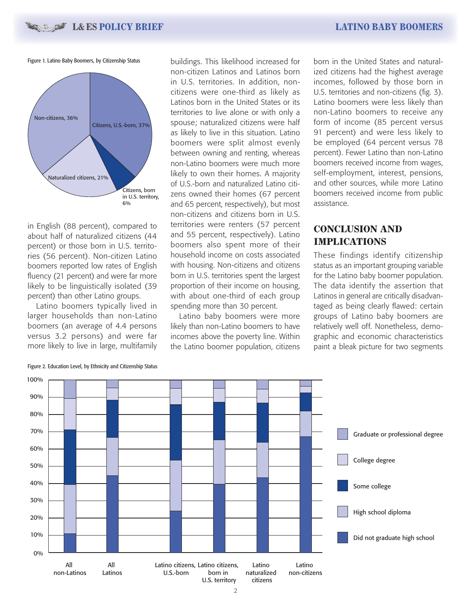**L & ES POLICY BRIEF LATINO BABY BOOMERS**

Figure 1. Latino Baby Boomers, by Citizenship Status



in English (88 percent), compared to about half of naturalized citizens (44 percent) or those born in U.S. territories (56 percent). Non-citizen Latino boomers reported low rates of English fluency (21 percent) and were far more likely to be linguistically isolated (39 percent) than other Latino groups.

Latino boomers typically lived in larger households than non-Latino boomers (an average of 4.4 persons versus 3.2 persons) and were far more likely to live in large, multifamily

buildings. This likelihood increased for non-citizen Latinos and Latinos born in U.S. territories. In addition, noncitizens were one-third as likely as Latinos born in the United States or its territories to live alone or with only a spouse; naturalized citizens were half as likely to live in this situation. Latino boomers were split almost evenly between owning and renting, whereas non-Latino boomers were much more likely to own their homes. A majority of U.S.-born and naturalized Latino citizens owned their homes (67 percent and 65 percent, respectively), but most non-citizens and citizens born in U.S. territories were renters (57 percent and 55 percent, respectively). Latino boomers also spent more of their household income on costs associated with housing. Non-citizens and citizens born in U.S. territories spent the largest proportion of their income on housing, with about one-third of each group spending more than 30 percent.

Latino baby boomers were more likely than non-Latino boomers to have incomes above the poverty line. Within the Latino boomer population, citizens born in the United States and naturalized citizens had the highest average incomes, followed by those born in U.S. territories and non-citizens (fig. 3). Latino boomers were less likely than non-Latino boomers to receive any form of income (85 percent versus 91 percent) and were less likely to be employed (64 percent versus 78 percent). Fewer Latino than non-Latino boomers received income from wages, self-employment, interest, pensions, and other sources, while more Latino boomers received income from public assistance.

### **CONCLUSION AND IMPLICATIONS**

These findings identify citizenship status as an important grouping variable for the Latino baby boomer population. The data identify the assertion that Latinos in general are critically disadvantaged as being clearly flawed: certain groups of Latino baby boomers are relatively well off. Nonetheless, demographic and economic characteristics paint a bleak picture for two segments



Figure 2. Education Level, by Ethnicity and Citizenship Status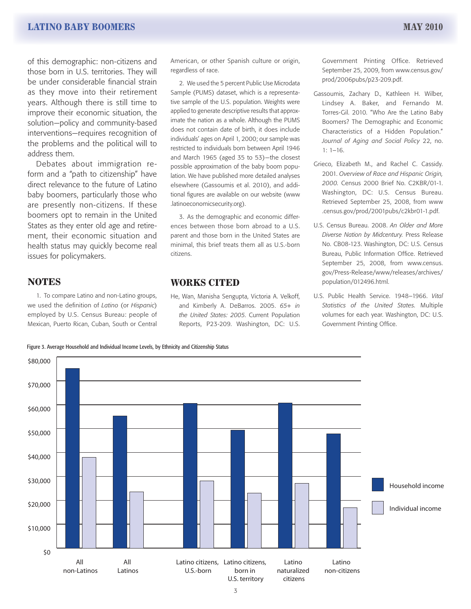of this demographic: non-citizens and those born in U.S. territories. They will be under considerable financial strain as they move into their retirement years. Although there is still time to improve their economic situation, the solution—policy and community-based interventions—requires recognition of the problems and the political will to address them.

Debates about immigration reform and a "path to citizenship" have direct relevance to the future of Latino baby boomers, particularly those who are presently non-citizens. If these boomers opt to remain in the United States as they enter old age and retirement, their economic situation and health status may quickly become real issues for policymakers.

### **NOTES**

1. To compare Latino and non-Latino groups, we used the definition of *Latino* (or *Hispanic*) employed by U.S. Census Bureau: people of Mexican, Puerto Rican, Cuban, South or Central

Figure 3. Average Household and Individual Income Levels, by Ethnicity and Citizenship Status

American, or other Spanish culture or origin, regardless of race.

2. We used the 5 percent Public Use Microdata Sample (PUMS) dataset, which is a representative sample of the U.S. population. Weights were applied to generate descriptive results that approximate the nation as a whole. Although the PUMS does not contain date of birth, it does include individuals' ages on April 1, 2000; our sample was restricted to individuals born between April 1946 and March 1965 (aged 35 to 53)—the closest possible approximation of the baby boom population. We have published more detailed analyses elsewhere (Gassoumis et al. 2010), and additional figures are available on our website (www .latinoeconomicsecurity.org).

3. As the demographic and economic differences between those born abroad to a U.S. parent and those born in the United States are minimal, this brief treats them all as U.S.-born citizens.

### **WORKS CITED**

He, Wan, Manisha Sengupta, Victoria A. Velkoff, and Kimberly A. DeBarros. 2005. *65+ in the United States: 2005*. Current Population Reports, P23-209. Washington, DC: U.S. Government Printing Office. Retrieved September 25, 2009, from www.census.gov/ prod/2006pubs/p23-209.pdf.

- Gassoumis, Zachary D., Kathleen H. Wilber, Lindsey A. Baker, and Fernando M. Torres-Gil. 2010. "Who Are the Latino Baby Boomers? The Demographic and Economic Characteristics of a Hidden Population." *Journal of Aging and Social Policy* 22, no. 1: 1–16.
- Grieco, Elizabeth M., and Rachel C. Cassidy. 2001. *Overview of Race and Hispanic Origin, 2000.* Census 2000 Brief No. C2KBR/01-1. Washington, DC: U.S. Census Bureau. Retrieved September 25, 2008, from www .census.gov/prod/2001pubs/c2kbr01-1.pdf.
- U.S. Census Bureau. 2008. *An Older and More Diverse Nation by Midcentury.* Press Release No. CB08-123. Washington, DC: U.S. Census Bureau, Public Information Office. Retrieved September 25, 2008, from www.census. gov/Press-Release/www/releases/archives/ population/012496.html.
- U.S. Public Health Service. 1948–1966. *Vital Statistics of the United States.* Multiple volumes for each year. Washington, DC: U.S. Government Printing Office.